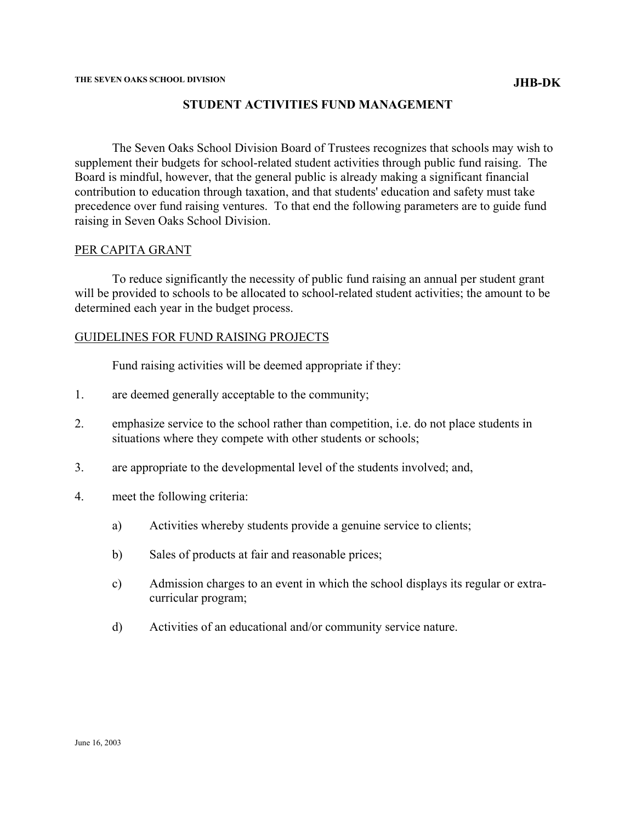## **STUDENT ACTIVITIES FUND MANAGEMENT**

The Seven Oaks School Division Board of Trustees recognizes that schools may wish to supplement their budgets for school-related student activities through public fund raising. The Board is mindful, however, that the general public is already making a significant financial contribution to education through taxation, and that students' education and safety must take precedence over fund raising ventures. To that end the following parameters are to guide fund raising in Seven Oaks School Division.

## PER CAPITA GRANT

To reduce significantly the necessity of public fund raising an annual per student grant will be provided to schools to be allocated to school-related student activities; the amount to be determined each year in the budget process.

## GUIDELINES FOR FUND RAISING PROJECTS

Fund raising activities will be deemed appropriate if they:

- 1. are deemed generally acceptable to the community;
- 2. emphasize service to the school rather than competition, i.e. do not place students in situations where they compete with other students or schools;
- 3. are appropriate to the developmental level of the students involved; and,
- 4. meet the following criteria:
	- a) Activities whereby students provide a genuine service to clients;
	- b) Sales of products at fair and reasonable prices;
	- c) Admission charges to an event in which the school displays its regular or extracurricular program;
	- d) Activities of an educational and/or community service nature.